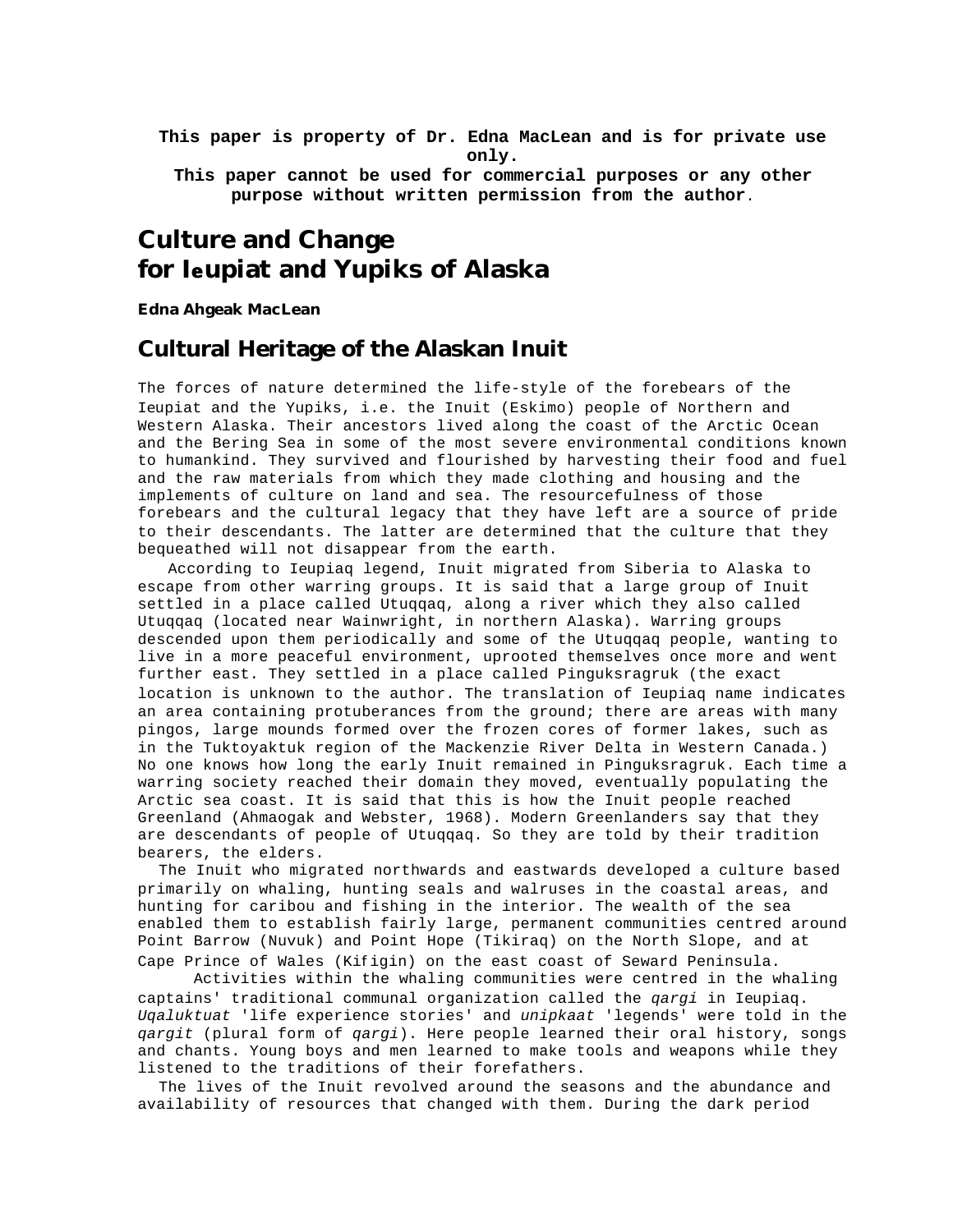**This paper is property of Dr. Edna MacLean and is for private use only.**

**This paper cannot be used for commercial purposes or any other purpose without written permission from the author**.

# **Culture and Change for Ieupiat and Yupiks of Alaska**

**Edna Ahgeak MacLean**

## **Cultural Heritage of the Alaskan Inuit**

The forces of nature determined the life-style of the forebears of the Ieupiat and the Yupiks, i.e. the Inuit (Eskimo) people of Northern and Western Alaska. Their ancestors lived along the coast of the Arctic Ocean and the Bering Sea in some of the most severe environmental conditions known to humankind. They survived and flourished by harvesting their food and fuel and the raw materials from which they made clothing and housing and the implements of culture on land and sea. The resourcefulness of those forebears and the cultural legacy that they have left are a source of pride to their descendants. The latter are determined that the culture that they bequeathed will not disappear from the earth.

 According to Ieupiaq legend, Inuit migrated from Siberia to Alaska to escape from other warring groups. It is said that a large group of Inuit settled in a place called Utuqqaq, along a river which they also called Utuqqaq (located near Wainwright, in northern Alaska). Warring groups descended upon them periodically and some of the Utuqqaq people, wanting to live in a more peaceful environment, uprooted themselves once more and went further east. They settled in a place called Pinguksragruk (the exact location is unknown to the author. The translation of Ieupiaq name indicates an area containing protuberances from the ground; there are areas with many pingos, large mounds formed over the frozen cores of former lakes, such as in the Tuktoyaktuk region of the Mackenzie River Delta in Western Canada.) No one knows how long the early Inuit remained in Pinguksragruk. Each time a warring society reached their domain they moved, eventually populating the Arctic sea coast. It is said that this is how the Inuit people reached Greenland (Ahmaogak and Webster, 1968). Modern Greenlanders say that they are descendants of people of Utuqqaq. So they are told by their tradition bearers, the elders.

The Inuit who migrated northwards and eastwards developed a culture based primarily on whaling, hunting seals and walruses in the coastal areas, and hunting for caribou and fishing in the interior. The wealth of the sea enabled them to establish fairly large, permanent communities centred around Point Barrow (Nuvuk) and Point Hope (Tikiraq) on the North Slope, and at Cape Prince of Wales (Kifigin) on the east coast of Seward Peninsula.

Activities within the whaling communities were centred in the whaling captains' traditional communal organization called the *qargi* in Ieupiaq. *Uqaluktuat* 'life experience stories' and *unipkaat* 'legends' were told in the *qargit* (plural form of *qargi*). Here people learned their oral history, songs and chants. Young boys and men learned to make tools and weapons while they listened to the traditions of their forefathers.

The lives of the Inuit revolved around the seasons and the abundance and availability of resources that changed with them. During the dark period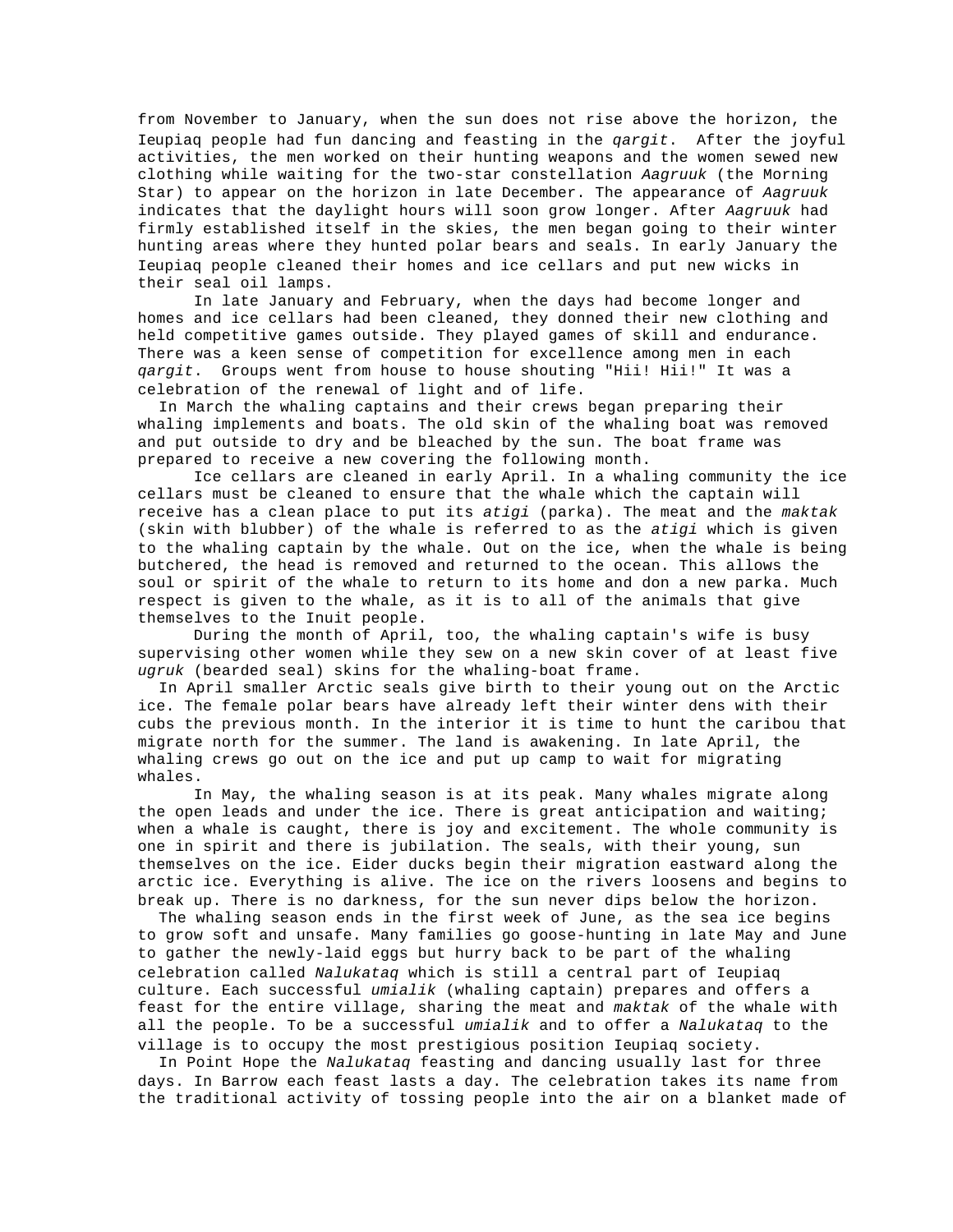from November to January, when the sun does not rise above the horizon, the Ieupiaq people had fun dancing and feasting in the *qargit*. After the joyful activities, the men worked on their hunting weapons and the women sewed new clothing while waiting for the two-star constellation *Aagruuk* (the Morning Star) to appear on the horizon in late December. The appearance of *Aagruuk* indicates that the daylight hours will soon grow longer. After *Aagruuk* had firmly established itself in the skies, the men began going to their winter hunting areas where they hunted polar bears and seals. In early January the Ieupiaq people cleaned their homes and ice cellars and put new wicks in their seal oil lamps.

In late January and February, when the days had become longer and homes and ice cellars had been cleaned, they donned their new clothing and held competitive games outside. They played games of skill and endurance. There was a keen sense of competition for excellence among men in each *qargit*. Groups went from house to house shouting "Hii! Hii!" It was a celebration of the renewal of light and of life.

In March the whaling captains and their crews began preparing their whaling implements and boats. The old skin of the whaling boat was removed and put outside to dry and be bleached by the sun. The boat frame was prepared to receive a new covering the following month.

Ice cellars are cleaned in early April. In a whaling community the ice cellars must be cleaned to ensure that the whale which the captain will receive has a clean place to put its *atigi* (parka). The meat and the *maktak* (skin with blubber) of the whale is referred to as the *atigi* which is given to the whaling captain by the whale. Out on the ice, when the whale is being butchered, the head is removed and returned to the ocean. This allows the soul or spirit of the whale to return to its home and don a new parka. Much respect is given to the whale, as it is to all of the animals that give themselves to the Inuit people.

During the month of April, too, the whaling captain's wife is busy supervising other women while they sew on a new skin cover of at least five *ugruk* (bearded seal) skins for the whaling-boat frame.

In April smaller Arctic seals give birth to their young out on the Arctic ice. The female polar bears have already left their winter dens with their cubs the previous month. In the interior it is time to hunt the caribou that migrate north for the summer. The land is awakening. In late April, the whaling crews go out on the ice and put up camp to wait for migrating whales.

In May, the whaling season is at its peak. Many whales migrate along the open leads and under the ice. There is great anticipation and waiting; when a whale is caught, there is joy and excitement. The whole community is one in spirit and there is jubilation. The seals, with their young, sun themselves on the ice. Eider ducks begin their migration eastward along the arctic ice. Everything is alive. The ice on the rivers loosens and begins to break up. There is no darkness, for the sun never dips below the horizon.

The whaling season ends in the first week of June, as the sea ice begins to grow soft and unsafe. Many families go goose-hunting in late May and June to gather the newly-laid eggs but hurry back to be part of the whaling celebration called *Nalukataq* which is still a central part of Ieupiaq culture. Each successful *umialik* (whaling captain) prepares and offers a feast for the entire village, sharing the meat and *maktak* of the whale with all the people. To be a successful *umialik* and to offer a *Nalukataq* to the village is to occupy the most prestigious position Ieupiaq society.

In Point Hope the *Nalukataq* feasting and dancing usually last for three days. In Barrow each feast lasts a day. The celebration takes its name from the traditional activity of tossing people into the air on a blanket made of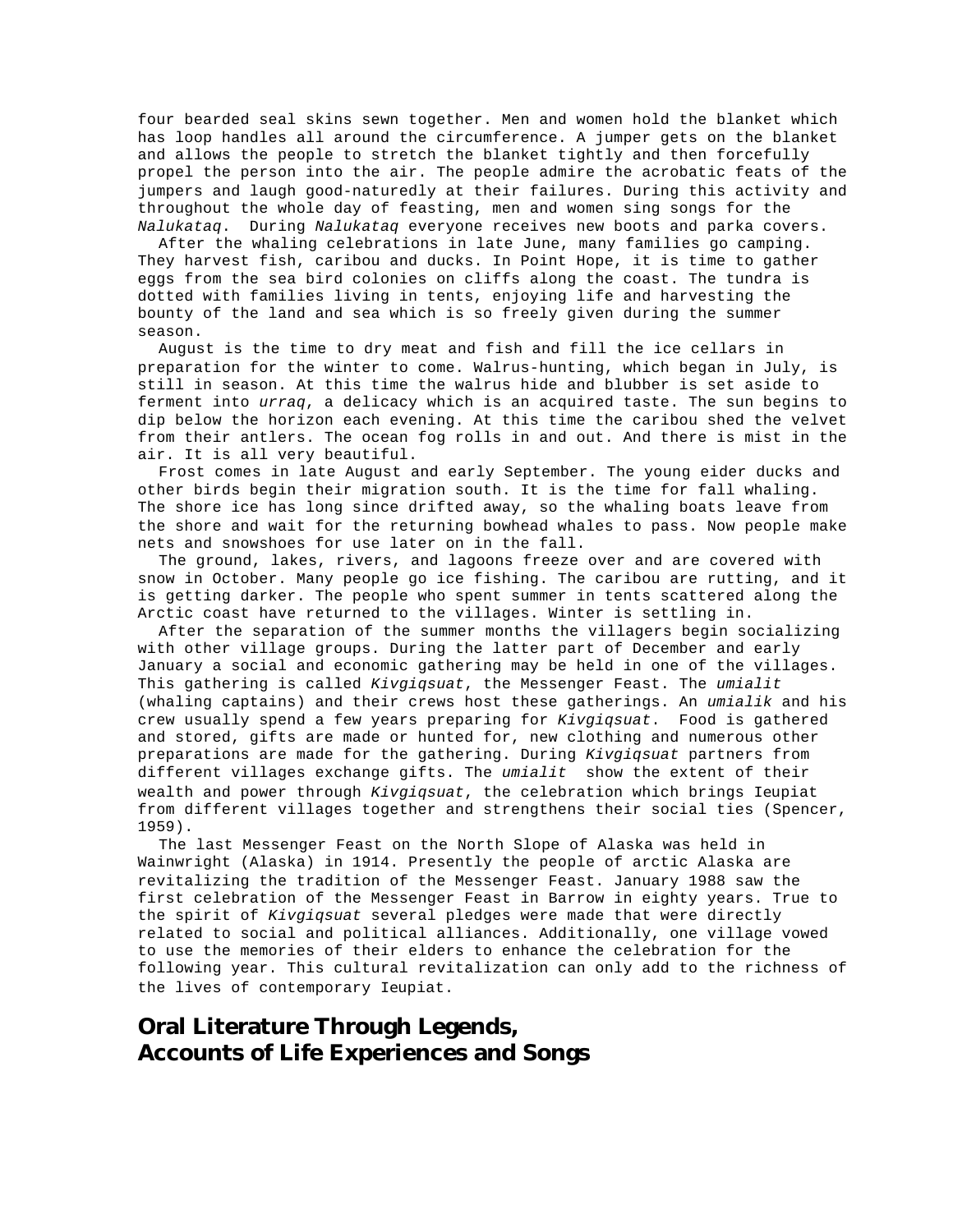four bearded seal skins sewn together. Men and women hold the blanket which has loop handles all around the circumference. A jumper gets on the blanket and allows the people to stretch the blanket tightly and then forcefully propel the person into the air. The people admire the acrobatic feats of the jumpers and laugh good-naturedly at their failures. During this activity and throughout the whole day of feasting, men and women sing songs for the *Nalukataq*. During *Nalukataq* everyone receives new boots and parka covers.

After the whaling celebrations in late June, many families go camping. They harvest fish, caribou and ducks. In Point Hope, it is time to gather eggs from the sea bird colonies on cliffs along the coast. The tundra is dotted with families living in tents, enjoying life and harvesting the bounty of the land and sea which is so freely given during the summer season.

August is the time to dry meat and fish and fill the ice cellars in preparation for the winter to come. Walrus-hunting, which began in July, is still in season. At this time the walrus hide and blubber is set aside to ferment into *urraq*, a delicacy which is an acquired taste. The sun begins to dip below the horizon each evening. At this time the caribou shed the velvet from their antlers. The ocean fog rolls in and out. And there is mist in the air. It is all very beautiful.

Frost comes in late August and early September. The young eider ducks and other birds begin their migration south. It is the time for fall whaling. The shore ice has long since drifted away, so the whaling boats leave from the shore and wait for the returning bowhead whales to pass. Now people make nets and snowshoes for use later on in the fall.

The ground, lakes, rivers, and lagoons freeze over and are covered with snow in October. Many people go ice fishing. The caribou are rutting, and it is getting darker. The people who spent summer in tents scattered along the Arctic coast have returned to the villages. Winter is settling in.

After the separation of the summer months the villagers begin socializing with other village groups. During the latter part of December and early January a social and economic gathering may be held in one of the villages. This gathering is called *Kivgiqsuat*, the Messenger Feast. The *umialit* (whaling captains) and their crews host these gatherings. An *umialik* and his crew usually spend a few years preparing for *Kivgiqsuat*. Food is gathered and stored, gifts are made or hunted for, new clothing and numerous other preparations are made for the gathering. During *Kivgiqsuat* partners from different villages exchange gifts. The *umialit* show the extent of their wealth and power through *Kivgiqsuat*, the celebration which brings Ieupiat from different villages together and strengthens their social ties (Spencer, 1959).

The last Messenger Feast on the North Slope of Alaska was held in Wainwright (Alaska) in 1914. Presently the people of arctic Alaska are revitalizing the tradition of the Messenger Feast. January 1988 saw the first celebration of the Messenger Feast in Barrow in eighty years. True to the spirit of *Kivgiqsuat* several pledges were made that were directly related to social and political alliances. Additionally, one village vowed to use the memories of their elders to enhance the celebration for the following year. This cultural revitalization can only add to the richness of the lives of contemporary Ieupiat.

### **Oral Literature Through Legends, Accounts of Life Experiences and Songs**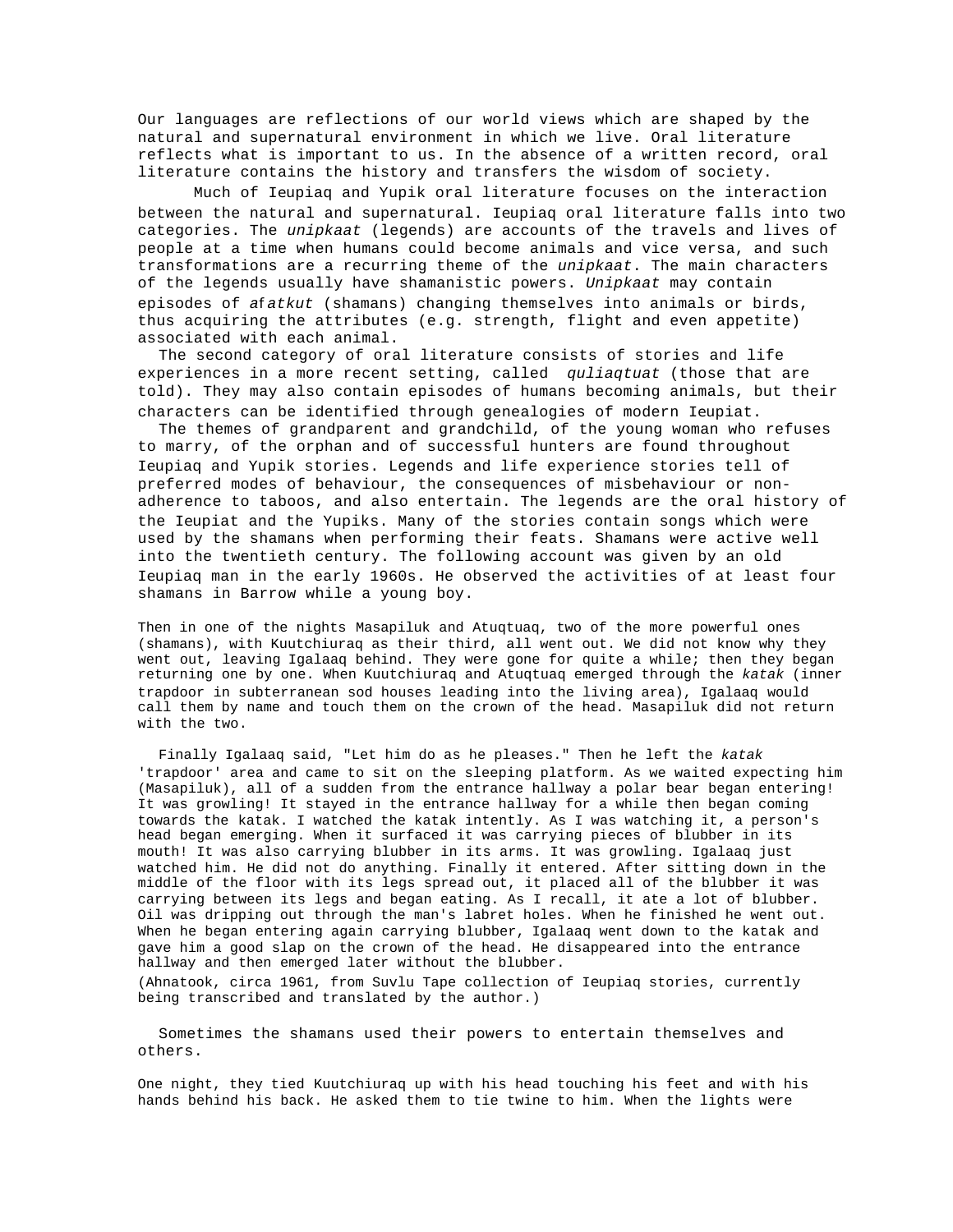Our languages are reflections of our world views which are shaped by the natural and supernatural environment in which we live. Oral literature reflects what is important to us. In the absence of a written record, oral literature contains the history and transfers the wisdom of society.

Much of Ieupiaq and Yupik oral literature focuses on the interaction between the natural and supernatural. Ieupiaq oral literature falls into two categories. The *unipkaat* (legends) are accounts of the travels and lives of people at a time when humans could become animals and vice versa, and such transformations are a recurring theme of the *unipkaat*. The main characters of the legends usually have shamanistic powers. *Unipkaat* may contain episodes of *afatkut* (shamans) changing themselves into animals or birds, thus acquiring the attributes (e.g. strength, flight and even appetite) associated with each animal.

The second category of oral literature consists of stories and life experiences in a more recent setting, called *quliaqtuat* (those that are told). They may also contain episodes of humans becoming animals, but their characters can be identified through genealogies of modern Ieupiat.

The themes of grandparent and grandchild, of the young woman who refuses to marry, of the orphan and of successful hunters are found throughout Ieupiaq and Yupik stories. Legends and life experience stories tell of preferred modes of behaviour, the consequences of misbehaviour or nonadherence to taboos, and also entertain. The legends are the oral history of the Ieupiat and the Yupiks. Many of the stories contain songs which were used by the shamans when performing their feats. Shamans were active well into the twentieth century. The following account was given by an old Ieupiaq man in the early 1960s. He observed the activities of at least four shamans in Barrow while a young boy.

Then in one of the nights Masapiluk and Atuqtuaq, two of the more powerful ones (shamans), with Kuutchiuraq as their third, all went out. We did not know why they went out, leaving Igalaaq behind. They were gone for quite a while; then they began returning one by one. When Kuutchiuraq and Atuqtuaq emerged through the *katak* (inner trapdoor in subterranean sod houses leading into the living area), Igalaaq would call them by name and touch them on the crown of the head. Masapiluk did not return with the two.

Finally Igalaaq said, "Let him do as he pleases." Then he left the *katak* 'trapdoor' area and came to sit on the sleeping platform. As we waited expecting him (Masapiluk), all of a sudden from the entrance hallway a polar bear began entering! It was growling! It stayed in the entrance hallway for a while then began coming towards the katak. I watched the katak intently. As I was watching it, a person's head began emerging. When it surfaced it was carrying pieces of blubber in its mouth! It was also carrying blubber in its arms. It was growling. Igalaaq just watched him. He did not do anything. Finally it entered. After sitting down in the middle of the floor with its legs spread out, it placed all of the blubber it was carrying between its legs and began eating. As I recall, it ate a lot of blubber. Oil was dripping out through the man's labret holes. When he finished he went out. When he began entering again carrying blubber, Igalaaq went down to the katak and gave him a good slap on the crown of the head. He disappeared into the entrance hallway and then emerged later without the blubber.

(Ahnatook, circa 1961, from Suvlu Tape collection of Ieupiaq stories, currently being transcribed and translated by the author.)

Sometimes the shamans used their powers to entertain themselves and others.

One night, they tied Kuutchiuraq up with his head touching his feet and with his hands behind his back. He asked them to tie twine to him. When the lights were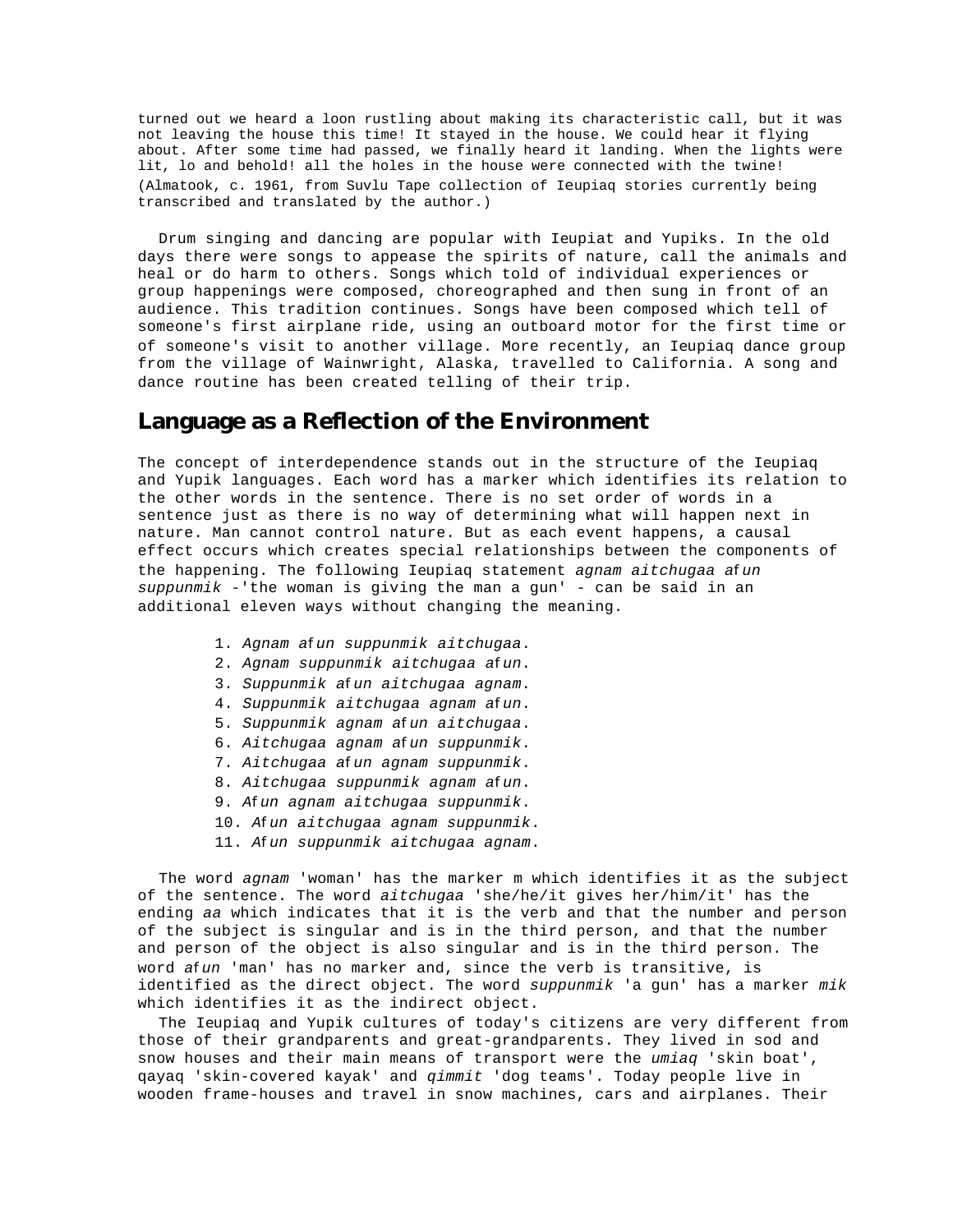turned out we heard a loon rustling about making its characteristic call, but it was not leaving the house this time! It stayed in the house. We could hear it flying about. After some time had passed, we finally heard it landing. When the lights were lit, lo and behold! all the holes in the house were connected with the twine! (Almatook, c. 1961, from Suvlu Tape collection of Ieupiaq stories currently being transcribed and translated by the author.)

Drum singing and dancing are popular with Ieupiat and Yupiks. In the old days there were songs to appease the spirits of nature, call the animals and heal or do harm to others. Songs which told of individual experiences or group happenings were composed, choreographed and then sung in front of an audience. This tradition continues. Songs have been composed which tell of someone's first airplane ride, using an outboard motor for the first time or of someone's visit to another village. More recently, an Ieupiaq dance group from the village of Wainwright, Alaska, travelled to California. A song and dance routine has been created telling of their trip.

#### **Language as a Reflection of the Environment**

The concept of interdependence stands out in the structure of the Ieupiaq and Yupik languages. Each word has a marker which identifies its relation to the other words in the sentence. There is no set order of words in a sentence just as there is no way of determining what will happen next in nature. Man cannot control nature. But as each event happens, a causal effect occurs which creates special relationships between the components of the happening. The following Ieupiaq statement *agnam aitchugaa afun suppunmik* -'the woman is giving the man a gun' - can be said in an additional eleven ways without changing the meaning.

- 1. *Agnam afun suppunmik aitchugaa*.
- 2. *Agnam suppunmik aitchugaa afun*.
- 3. *Suppunmik afun aitchugaa agnam*.
- 4. *Suppunmik aitchugaa agnam afun*.
- 5. *Suppunmik agnam afun aitchugaa*.
- 6. *Aitchugaa agnam afun suppunmik*.
- 7. *Aitchugaa afun agnam suppunmik*.
- 8. *Aitchugaa suppunmik agnam afun*.
- 9. *Afun agnam aitchugaa suppunmik*.
- 10. *Afun aitchugaa agnam suppunmik*.
- 11. *Afun suppunmik aitchugaa agnam*.

The word *agnam* 'woman' has the marker m which identifies it as the subject of the sentence. The word *aitchugaa* 'she/he/it gives her/him/it' has the ending *aa* which indicates that it is the verb and that the number and person of the subject is singular and is in the third person, and that the number and person of the object is also singular and is in the third person. The word *afun* 'man' has no marker and, since the verb is transitive, is identified as the direct object. The word *suppunmik* 'a gun' has a marker *mik* which identifies it as the indirect object.

The Ieupiaq and Yupik cultures of today's citizens are very different from those of their grandparents and great-grandparents. They lived in sod and snow houses and their main means of transport were the *umiaq* 'skin boat', qayaq 'skin-covered kayak' and *qimmit* 'dog teams'. Today people live in wooden frame-houses and travel in snow machines, cars and airplanes. Their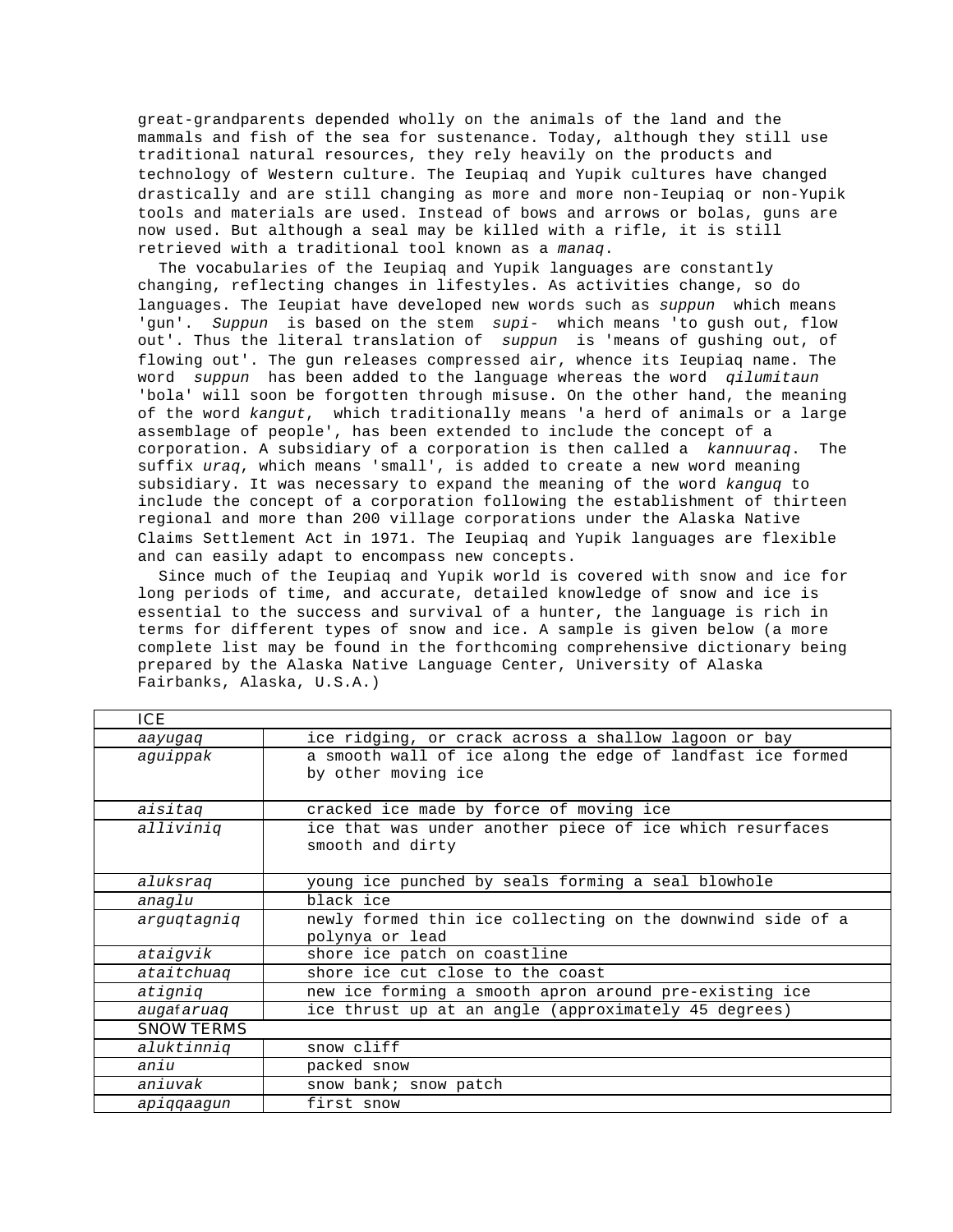great-grandparents depended wholly on the animals of the land and the mammals and fish of the sea for sustenance. Today, although they still use traditional natural resources, they rely heavily on the products and technology of Western culture. The Ieupiaq and Yupik cultures have changed drastically and are still changing as more and more non-Ieupiaq or non-Yupik tools and materials are used. Instead of bows and arrows or bolas, guns are now used. But although a seal may be killed with a rifle, it is still retrieved with a traditional tool known as a *manaq*.

The vocabularies of the Ieupiaq and Yupik languages are constantly changing, reflecting changes in lifestyles. As activities change, so do languages. The Ieupiat have developed new words such as *suppun* which means 'gun'. *Suppun* is based on the stem *supi*- which means 'to gush out, flow out'. Thus the literal translation of *suppun* is 'means of gushing out, of flowing out'. The gun releases compressed air, whence its Ieupiaq name. The word *suppun* has been added to the language whereas the word *qilumitaun* 'bola' will soon be forgotten through misuse. On the other hand, the meaning of the word *kangut*, which traditionally means 'a herd of animals or a large assemblage of people', has been extended to include the concept of a corporation. A subsidiary of a corporation is then called a *kannuuraq*. The suffix *uraq*, which means 'small', is added to create a new word meaning subsidiary. It was necessary to expand the meaning of the word *kanguq* to include the concept of a corporation following the establishment of thirteen regional and more than 200 village corporations under the Alaska Native Claims Settlement Act in 1971. The Ieupiaq and Yupik languages are flexible and can easily adapt to encompass new concepts.

Since much of the Ieupiaq and Yupik world is covered with snow and ice for long periods of time, and accurate, detailed knowledge of snow and ice is essential to the success and survival of a hunter, the language is rich in terms for different types of snow and ice. A sample is given below (a more complete list may be found in the forthcoming comprehensive dictionary being prepared by the Alaska Native Language Center, University of Alaska Fairbanks, Alaska, U.S.A.)

| ICE               |                                                            |
|-------------------|------------------------------------------------------------|
| aayugaq           | ice ridging, or crack across a shallow lagoon or bay       |
| aguippak          | a smooth wall of ice along the edge of landfast ice formed |
|                   | by other moving ice                                        |
|                   |                                                            |
| aisitag           | cracked ice made by force of moving ice                    |
| alliviniq         | ice that was under another piece of ice which resurfaces   |
|                   | smooth and dirty                                           |
|                   |                                                            |
| aluksraq          | young ice punched by seals forming a seal blowhole         |
| anaglu            | black ice                                                  |
| arquqtaqniq       | newly formed thin ice collecting on the downwind side of a |
|                   | polynya or lead                                            |
| ataigvik          | shore ice patch on coastline                               |
| ataitchuaq        | shore ice cut close to the coast                           |
| atigniq           | new ice forming a smooth apron around pre-existing ice     |
| augafaruag        | ice thrust up at an angle (approximately 45 degrees)       |
| <b>SNOW TERMS</b> |                                                            |
| aluktinniq        | snow cliff                                                 |
| aniu              | packed snow                                                |
| aniuvak           | snow bank; snow patch                                      |
| apiqqaagun        | first snow                                                 |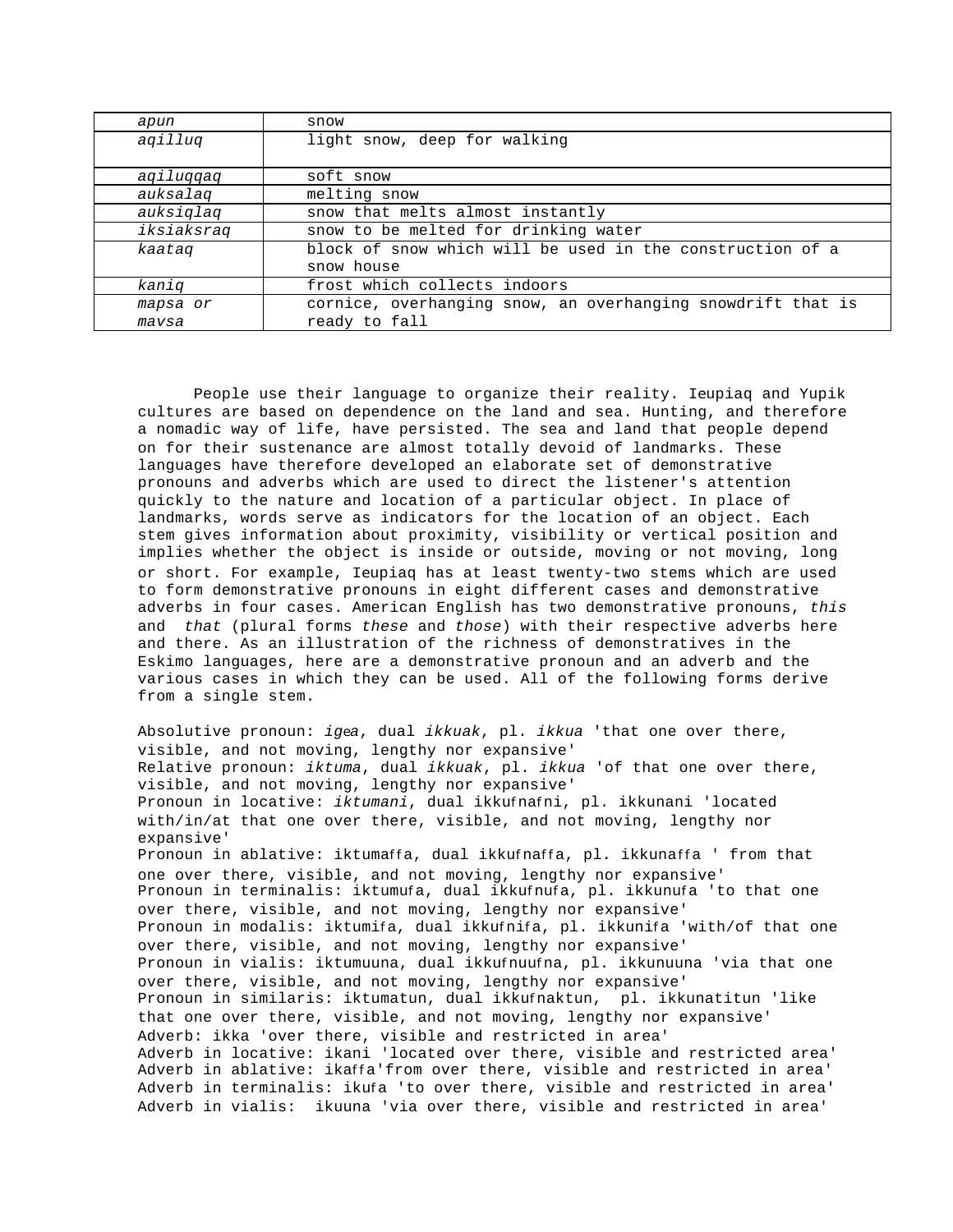| apun       | snow                                                        |
|------------|-------------------------------------------------------------|
| agillug    | light snow, deep for walking                                |
|            |                                                             |
| agiluggag  | soft snow                                                   |
| auksalaq   | melting snow                                                |
| auksiglag  | snow that melts almost instantly                            |
| iksiaksrag | snow to be melted for drinking water                        |
| kaataq     | block of snow which will be used in the construction of a   |
|            | snow house                                                  |
| kaniq      | frost which collects indoors                                |
| mapsa or   | cornice, overhanging snow, an overhanging snowdrift that is |
| mavsa      | ready to fall                                               |

People use their language to organize their reality. Ieupiaq and Yupik cultures are based on dependence on the land and sea. Hunting, and therefore a nomadic way of life, have persisted. The sea and land that people depend on for their sustenance are almost totally devoid of landmarks. These languages have therefore developed an elaborate set of demonstrative pronouns and adverbs which are used to direct the listener's attention quickly to the nature and location of a particular object. In place of landmarks, words serve as indicators for the location of an object. Each stem gives information about proximity, visibility or vertical position and implies whether the object is inside or outside, moving or not moving, long or short. For example, Ieupiaq has at least twenty-two stems which are used to form demonstrative pronouns in eight different cases and demonstrative adverbs in four cases. American English has two demonstrative pronouns, *this* and *that* (plural forms *these* and *those*) with their respective adverbs here and there. As an illustration of the richness of demonstratives in the Eskimo languages, here are a demonstrative pronoun and an adverb and the various cases in which they can be used. All of the following forms derive from a single stem.

Absolutive pronoun: *igea*, dual *ikkuak*, pl. *ikkua* 'that one over there, visible, and not moving, lengthy nor expansive' Relative pronoun: *iktuma*, dual *ikkuak*, pl. *ikkua* 'of that one over there, visible, and not moving, lengthy nor expansive' Pronoun in locative: *iktumani*, dual ikkufnafni, pl. ikkunani 'located with/in/at that one over there, visible, and not moving, lengthy nor expansive' Pronoun in ablative: iktumaffa, dual ikkufnaffa, pl. ikkunaffa ' from that one over there, visible, and not moving, lengthy nor expansive' Pronoun in terminalis: iktumufa, dual ikkufnufa, pl. ikkunufa 'to that one over there, visible, and not moving, lengthy nor expansive' Pronoun in modalis: iktumifa, dual ikkufnifa, pl. ikkunifa 'with/of that one over there, visible, and not moving, lengthy nor expansive' Pronoun in vialis: iktumuuna, dual ikkufnuufna, pl. ikkunuuna 'via that one over there, visible, and not moving, lengthy nor expansive' Pronoun in similaris: iktumatun, dual ikkufnaktun, pl. ikkunatitun 'like that one over there, visible, and not moving, lengthy nor expansive' Adverb: ikka 'over there, visible and restricted in area' Adverb in locative: ikani 'located over there, visible and restricted area' Adverb in ablative: ikaffa'from over there, visible and restricted in area' Adverb in terminalis: ikufa 'to over there, visible and restricted in area' Adverb in vialis: ikuuna 'via over there, visible and restricted in area'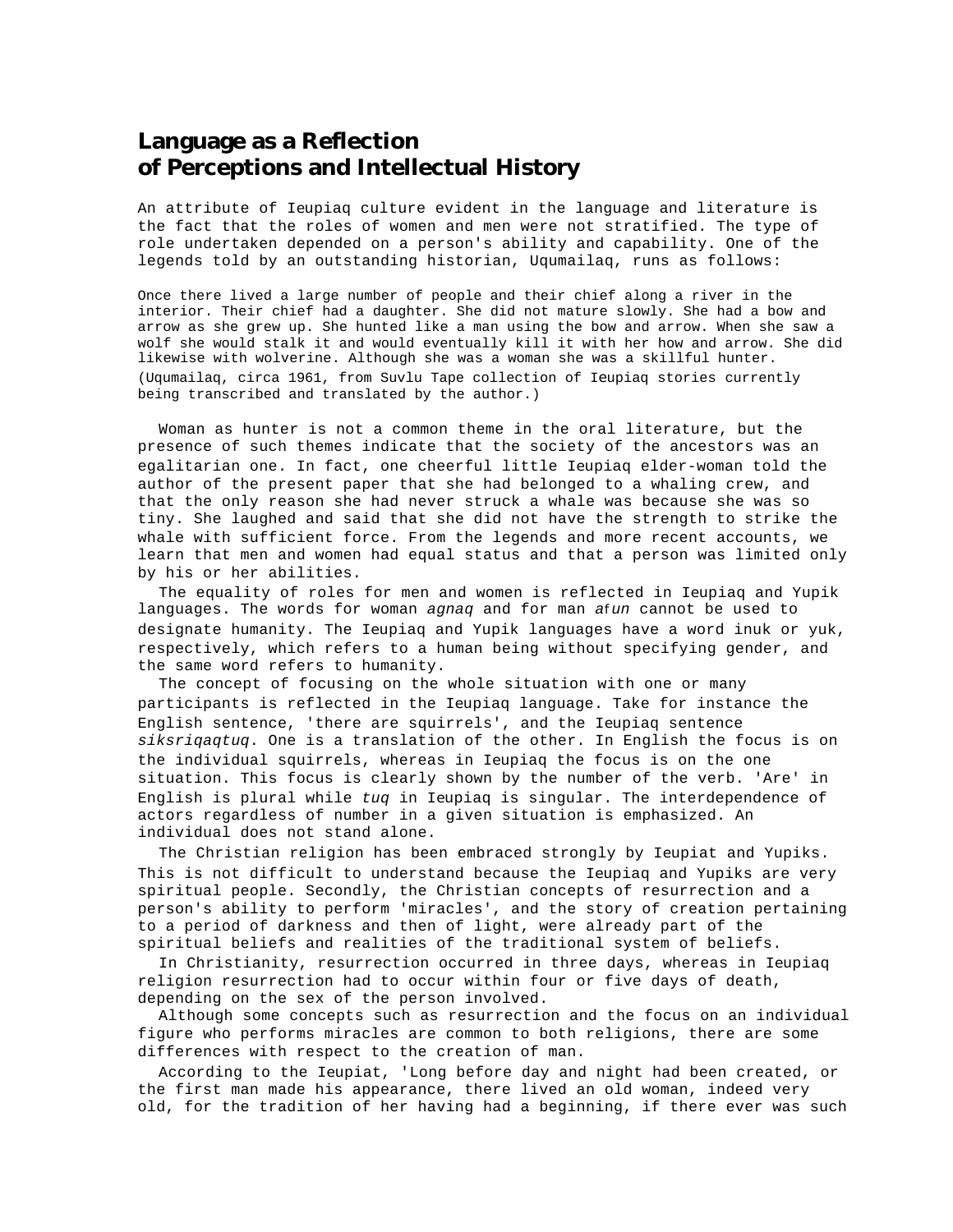### **Language as a Reflection of Perceptions and Intellectual History**

An attribute of Ieupiaq culture evident in the language and literature is the fact that the roles of women and men were not stratified. The type of role undertaken depended on a person's ability and capability. One of the legends told by an outstanding historian, Uqumailaq, runs as follows:

Once there lived a large number of people and their chief along a river in the interior. Their chief had a daughter. She did not mature slowly. She had a bow and arrow as she grew up. She hunted like a man using the bow and arrow. When she saw a wolf she would stalk it and would eventually kill it with her how and arrow. She did likewise with wolverine. Although she was a woman she was a skillful hunter. (Uqumailaq, circa 1961, from Suvlu Tape collection of Ieupiaq stories currently being transcribed and translated by the author.)

Woman as hunter is not a common theme in the oral literature, but the presence of such themes indicate that the society of the ancestors was an egalitarian one. In fact, one cheerful little Ieupiaq elder-woman told the author of the present paper that she had belonged to a whaling crew, and that the only reason she had never struck a whale was because she was so tiny. She laughed and said that she did not have the strength to strike the whale with sufficient force. From the legends and more recent accounts, we learn that men and women had equal status and that a person was limited only by his or her abilities.

The equality of roles for men and women is reflected in Ieupiaq and Yupik languages. The words for woman *agnaq* and for man *a*f*un* cannot be used to designate humanity. The Ieupiaq and Yupik languages have a word inuk or yuk, respectively, which refers to a human being without specifying gender, and the same word refers to humanity.

The concept of focusing on the whole situation with one or many participants is reflected in the Ieupiaq language. Take for instance the English sentence, 'there are squirrels', and the Ieupiaq sentence *siksriqaqtuq*. One is a translation of the other. In English the focus is on the individual squirrels, whereas in Ieupiaq the focus is on the one situation. This focus is clearly shown by the number of the verb. 'Are' in English is plural while *tuq* in Ieupiaq is singular. The interdependence of actors regardless of number in a given situation is emphasized. An individual does not stand alone.

The Christian religion has been embraced strongly by Ieupiat and Yupiks. This is not difficult to understand because the Ieupiaq and Yupiks are very spiritual people. Secondly, the Christian concepts of resurrection and a person's ability to perform 'miracles', and the story of creation pertaining to a period of darkness and then of light, were already part of the spiritual beliefs and realities of the traditional system of beliefs.

In Christianity, resurrection occurred in three days, whereas in Ieupiaq religion resurrection had to occur within four or five days of death, depending on the sex of the person involved.

Although some concepts such as resurrection and the focus on an individual figure who performs miracles are common to both religions, there are some differences with respect to the creation of man.

According to the Ieupiat, 'Long before day and night had been created, or the first man made his appearance, there lived an old woman, indeed very old, for the tradition of her having had a beginning, if there ever was such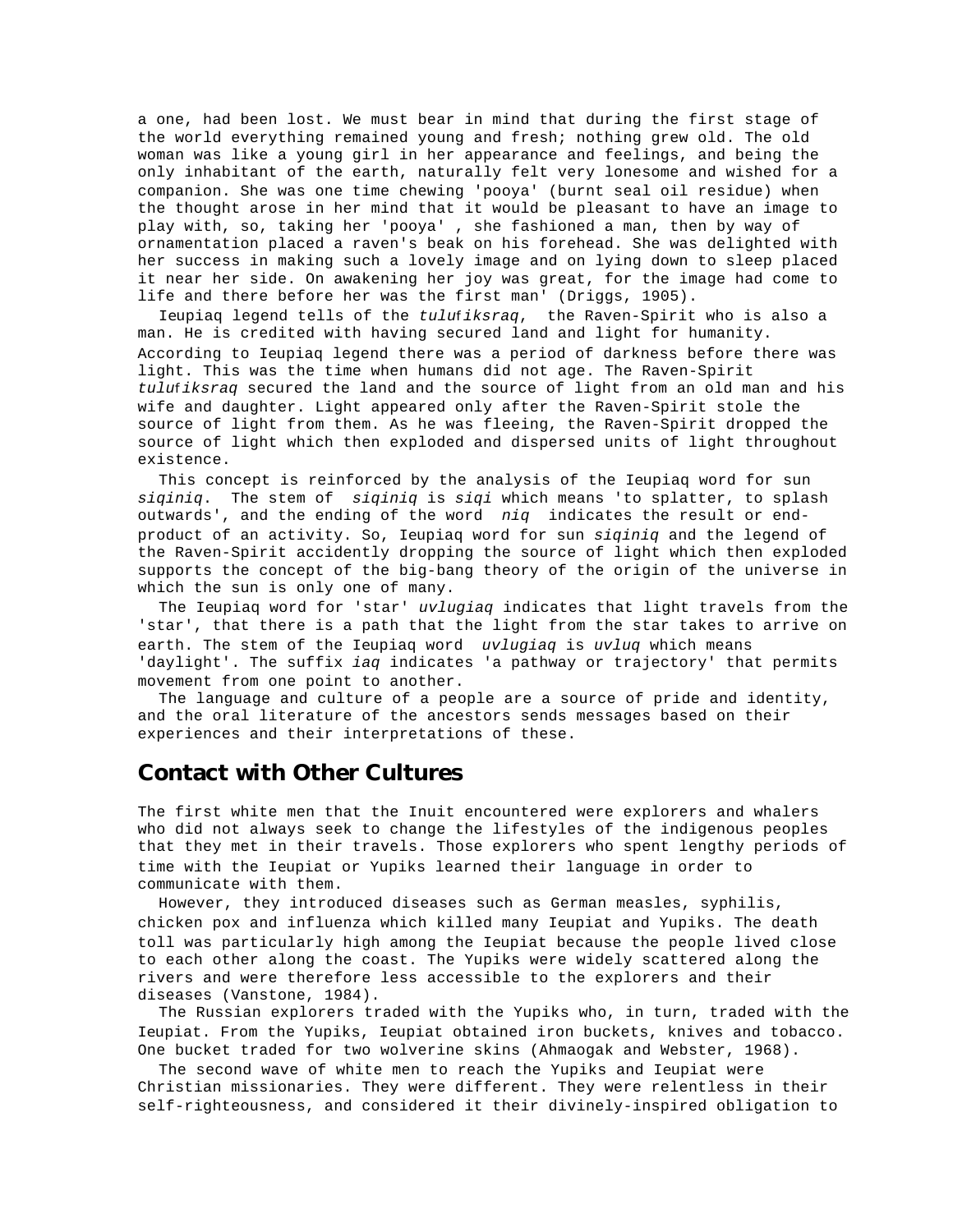a one, had been lost. We must bear in mind that during the first stage of the world everything remained young and fresh; nothing grew old. The old woman was like a young girl in her appearance and feelings, and being the only inhabitant of the earth, naturally felt very lonesome and wished for a companion. She was one time chewing 'pooya' (burnt seal oil residue) when the thought arose in her mind that it would be pleasant to have an image to play with, so, taking her 'pooya' , she fashioned a man, then by way of ornamentation placed a raven's beak on his forehead. She was delighted with her success in making such a lovely image and on lying down to sleep placed it near her side. On awakening her joy was great, for the image had come to life and there before her was the first man' (Driggs, 1905).

Ieupiaq legend tells of the *tulufiksraq*, the Raven-Spirit who is also a man. He is credited with having secured land and light for humanity. According to Ieupiaq legend there was a period of darkness before there was light. This was the time when humans did not age. The Raven-Spirit *tulufiksraq* secured the land and the source of light from an old man and his wife and daughter. Light appeared only after the Raven-Spirit stole the source of light from them. As he was fleeing, the Raven-Spirit dropped the source of light which then exploded and dispersed units of light throughout existence.

This concept is reinforced by the analysis of the Ieupiaq word for sun *siqiniq*. The stem of *siqiniq* is *siqi* which means 'to splatter, to splash outwards', and the ending of the word *niq* indicates the result or endproduct of an activity. So, Ieupiaq word for sun *siqiniq* and the legend of the Raven-Spirit accidently dropping the source of light which then exploded supports the concept of the big-bang theory of the origin of the universe in which the sun is only one of many.

The Ieupiaq word for 'star' *uvlugiaq* indicates that light travels from the 'star', that there is a path that the light from the star takes to arrive on earth. The stem of the Ieupiaq word *uvlugiaq* is *uvluq* which means 'daylight'. The suffix *iaq* indicates 'a pathway or trajectory' that permits movement from one point to another.

The language and culture of a people are a source of pride and identity, and the oral literature of the ancestors sends messages based on their experiences and their interpretations of these.

### **Contact with Other Cultures**

The first white men that the Inuit encountered were explorers and whalers who did not always seek to change the lifestyles of the indigenous peoples that they met in their travels. Those explorers who spent lengthy periods of time with the Ieupiat or Yupiks learned their language in order to communicate with them.

However, they introduced diseases such as German measles, syphilis, chicken pox and influenza which killed many Ieupiat and Yupiks. The death toll was particularly high among the Ieupiat because the people lived close to each other along the coast. The Yupiks were widely scattered along the rivers and were therefore less accessible to the explorers and their diseases (Vanstone, 1984).

The Russian explorers traded with the Yupiks who, in turn, traded with the Ieupiat. From the Yupiks, Ieupiat obtained iron buckets, knives and tobacco. One bucket traded for two wolverine skins (Ahmaogak and Webster, 1968).

The second wave of white men to reach the Yupiks and Ieupiat were Christian missionaries. They were different. They were relentless in their self-righteousness, and considered it their divinely-inspired obligation to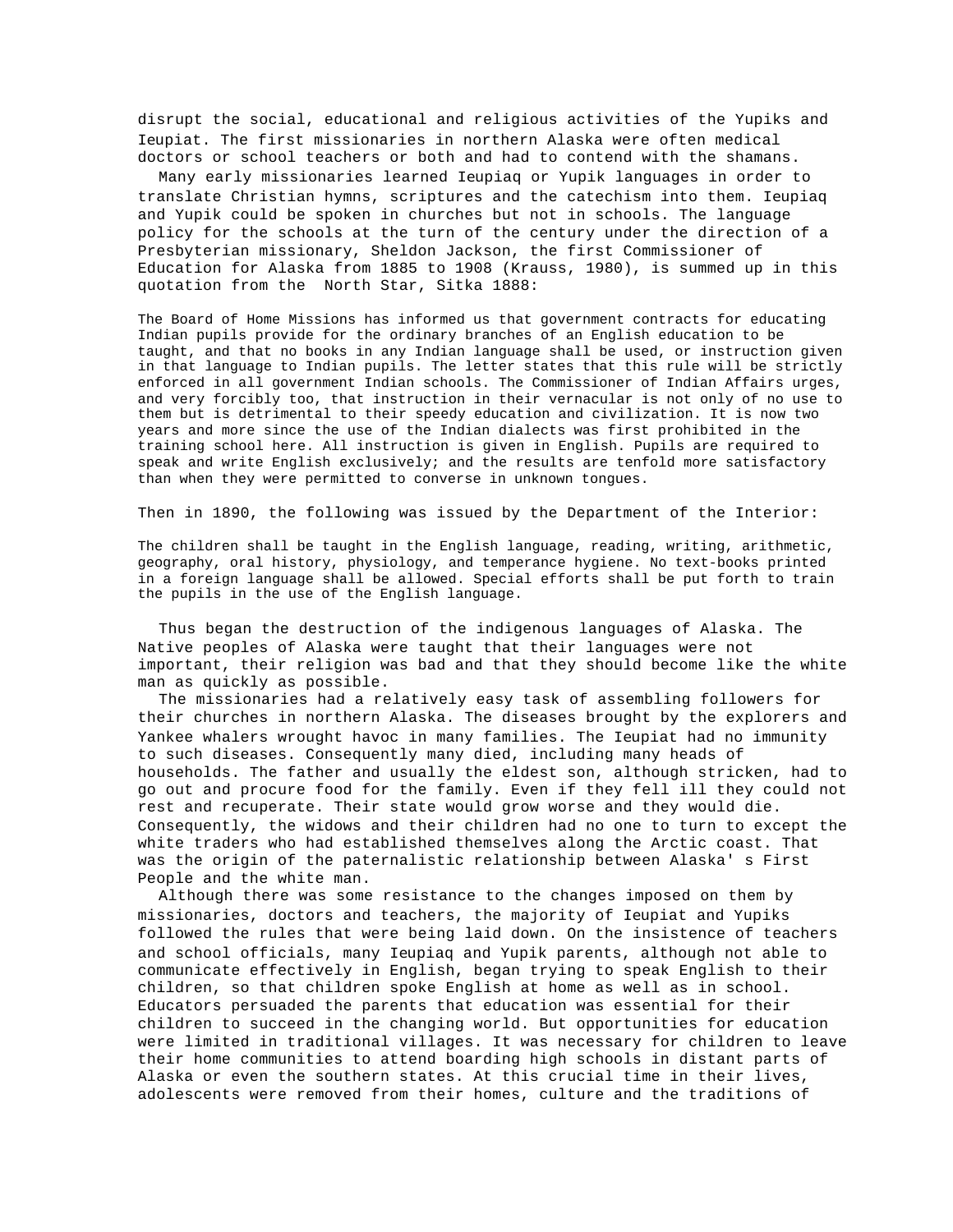disrupt the social, educational and religious activities of the Yupiks and Ieupiat. The first missionaries in northern Alaska were often medical doctors or school teachers or both and had to contend with the shamans.

Many early missionaries learned Ieupiaq or Yupik languages in order to translate Christian hymns, scriptures and the catechism into them. Ieupiaq and Yupik could be spoken in churches but not in schools. The language policy for the schools at the turn of the century under the direction of a Presbyterian missionary, Sheldon Jackson, the first Commissioner of Education for Alaska from 1885 to 1908 (Krauss, 1980), is summed up in this quotation from the North Star, Sitka 1888:

The Board of Home Missions has informed us that government contracts for educating Indian pupils provide for the ordinary branches of an English education to be taught, and that no books in any Indian language shall be used, or instruction given in that language to Indian pupils. The letter states that this rule will be strictly enforced in all government Indian schools. The Commissioner of Indian Affairs urges, and very forcibly too, that instruction in their vernacular is not only of no use to them but is detrimental to their speedy education and civilization. It is now two years and more since the use of the Indian dialects was first prohibited in the training school here. All instruction is given in English. Pupils are required to speak and write English exclusively; and the results are tenfold more satisfactory than when they were permitted to converse in unknown tongues.

Then in 1890, the following was issued by the Department of the Interior:

The children shall be taught in the English language, reading, writing, arithmetic, geography, oral history, physiology, and temperance hygiene. No text-books printed in a foreign language shall be allowed. Special efforts shall be put forth to train the pupils in the use of the English language.

Thus began the destruction of the indigenous languages of Alaska. The Native peoples of Alaska were taught that their languages were not important, their religion was bad and that they should become like the white man as quickly as possible.

The missionaries had a relatively easy task of assembling followers for their churches in northern Alaska. The diseases brought by the explorers and Yankee whalers wrought havoc in many families. The Ieupiat had no immunity to such diseases. Consequently many died, including many heads of households. The father and usually the eldest son, although stricken, had to go out and procure food for the family. Even if they fell ill they could not rest and recuperate. Their state would grow worse and they would die. Consequently, the widows and their children had no one to turn to except the white traders who had established themselves along the Arctic coast. That was the origin of the paternalistic relationship between Alaska' s First People and the white man.

Although there was some resistance to the changes imposed on them by missionaries, doctors and teachers, the majority of Ieupiat and Yupiks followed the rules that were being laid down. On the insistence of teachers and school officials, many Ieupiaq and Yupik parents, although not able to communicate effectively in English, began trying to speak English to their children, so that children spoke English at home as well as in school. Educators persuaded the parents that education was essential for their children to succeed in the changing world. But opportunities for education were limited in traditional villages. It was necessary for children to leave their home communities to attend boarding high schools in distant parts of Alaska or even the southern states. At this crucial time in their lives, adolescents were removed from their homes, culture and the traditions of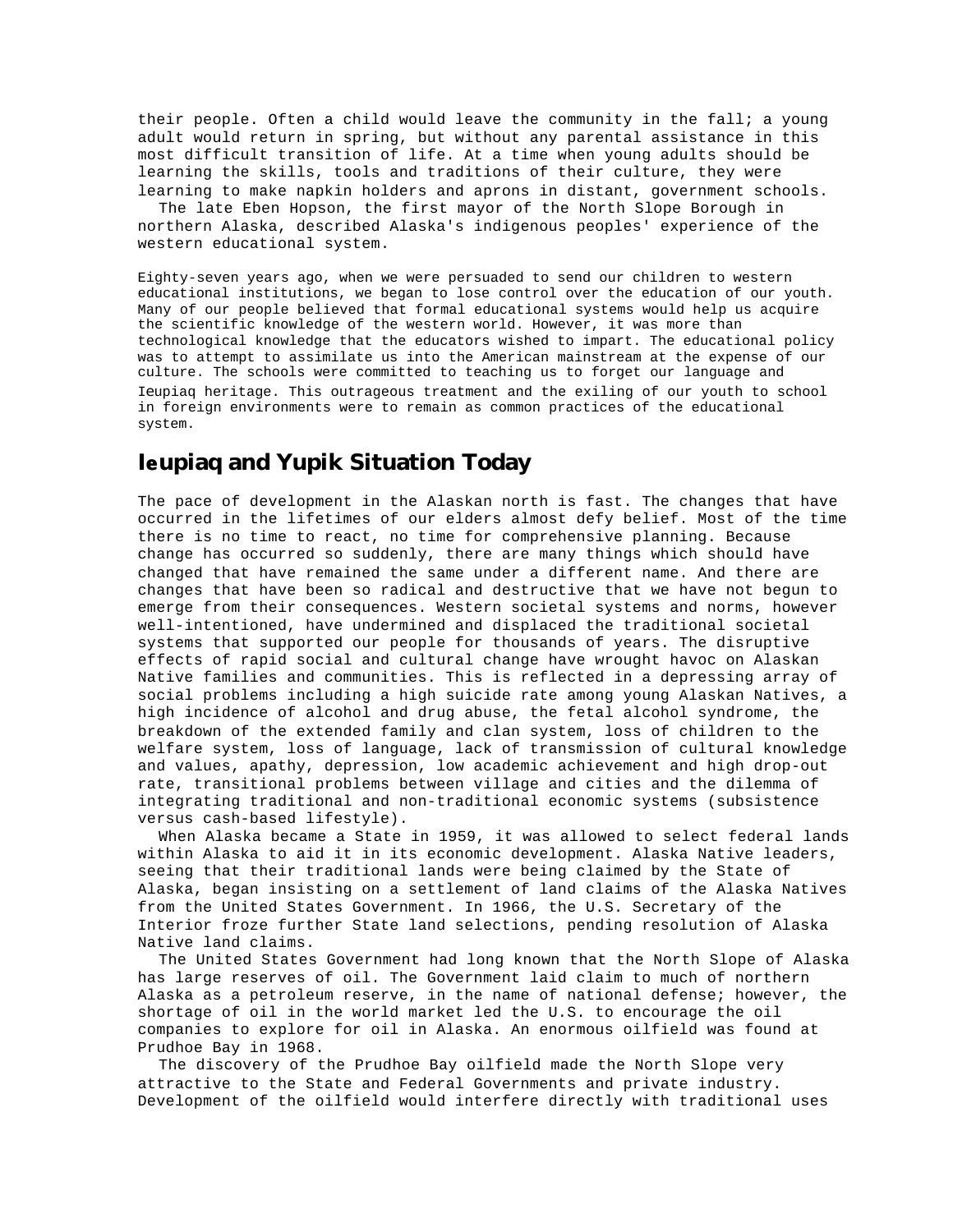their people. Often a child would leave the community in the fall; a young adult would return in spring, but without any parental assistance in this most difficult transition of life. At a time when young adults should be learning the skills, tools and traditions of their culture, they were learning to make napkin holders and aprons in distant, government schools.

The late Eben Hopson, the first mayor of the North Slope Borough in northern Alaska, described Alaska's indigenous peoples' experience of the western educational system.

Eighty-seven years ago, when we were persuaded to send our children to western educational institutions, we began to lose control over the education of our youth. Many of our people believed that formal educational systems would help us acquire the scientific knowledge of the western world. However, it was more than technological knowledge that the educators wished to impart. The educational policy was to attempt to assimilate us into the American mainstream at the expense of our culture. The schools were committed to teaching us to forget our language and Ieupiaq heritage. This outrageous treatment and the exiling of our youth to school in foreign environments were to remain as common practices of the educational system.

### **Ieupiaq and Yupik Situation Today**

The pace of development in the Alaskan north is fast. The changes that have occurred in the lifetimes of our elders almost defy belief. Most of the time there is no time to react, no time for comprehensive planning. Because change has occurred so suddenly, there are many things which should have changed that have remained the same under a different name. And there are changes that have been so radical and destructive that we have not begun to emerge from their consequences. Western societal systems and norms, however well-intentioned, have undermined and displaced the traditional societal systems that supported our people for thousands of years. The disruptive effects of rapid social and cultural change have wrought havoc on Alaskan Native families and communities. This is reflected in a depressing array of social problems including a high suicide rate among young Alaskan Natives, a high incidence of alcohol and drug abuse, the fetal alcohol syndrome, the breakdown of the extended family and clan system, loss of children to the welfare system, loss of language, lack of transmission of cultural knowledge and values, apathy, depression, low academic achievement and high drop-out rate, transitional problems between village and cities and the dilemma of integrating traditional and non-traditional economic systems (subsistence versus cash-based lifestyle).

When Alaska became a State in 1959, it was allowed to select federal lands within Alaska to aid it in its economic development. Alaska Native leaders, seeing that their traditional lands were being claimed by the State of Alaska, began insisting on a settlement of land claims of the Alaska Natives from the United States Government. In 1966, the U.S. Secretary of the Interior froze further State land selections, pending resolution of Alaska Native land claims.

The United States Government had long known that the North Slope of Alaska has large reserves of oil. The Government laid claim to much of northern Alaska as a petroleum reserve, in the name of national defense; however, the shortage of oil in the world market led the U.S. to encourage the oil companies to explore for oil in Alaska. An enormous oilfield was found at Prudhoe Bay in 1968.

The discovery of the Prudhoe Bay oilfield made the North Slope very attractive to the State and Federal Governments and private industry. Development of the oilfield would interfere directly with traditional uses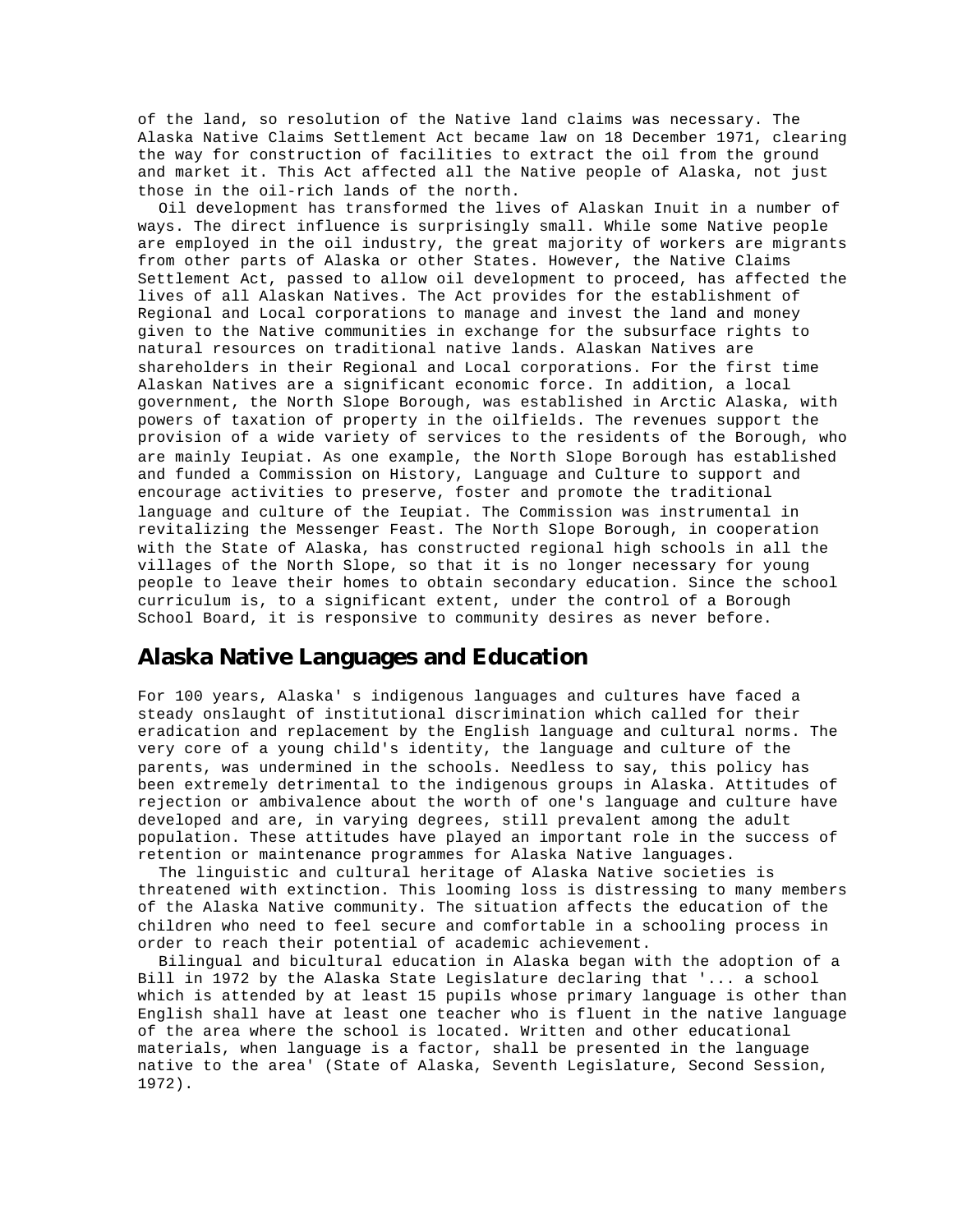of the land, so resolution of the Native land claims was necessary. The Alaska Native Claims Settlement Act became law on 18 December 1971, clearing the way for construction of facilities to extract the oil from the ground and market it. This Act affected all the Native people of Alaska, not just those in the oil-rich lands of the north.

Oil development has transformed the lives of Alaskan Inuit in a number of ways. The direct influence is surprisingly small. While some Native people are employed in the oil industry, the great majority of workers are migrants from other parts of Alaska or other States. However, the Native Claims Settlement Act, passed to allow oil development to proceed, has affected the lives of all Alaskan Natives. The Act provides for the establishment of Regional and Local corporations to manage and invest the land and money given to the Native communities in exchange for the subsurface rights to natural resources on traditional native lands. Alaskan Natives are shareholders in their Regional and Local corporations. For the first time Alaskan Natives are a significant economic force. In addition, a local government, the North Slope Borough, was established in Arctic Alaska, with powers of taxation of property in the oilfields. The revenues support the provision of a wide variety of services to the residents of the Borough, who are mainly Ieupiat. As one example, the North Slope Borough has established and funded a Commission on History, Language and Culture to support and encourage activities to preserve, foster and promote the traditional language and culture of the Ieupiat. The Commission was instrumental in revitalizing the Messenger Feast. The North Slope Borough, in cooperation with the State of Alaska, has constructed regional high schools in all the villages of the North Slope, so that it is no longer necessary for young people to leave their homes to obtain secondary education. Since the school curriculum is, to a significant extent, under the control of a Borough School Board, it is responsive to community desires as never before.

### **Alaska Native Languages and Education**

For 100 years, Alaska' s indigenous languages and cultures have faced a steady onslaught of institutional discrimination which called for their eradication and replacement by the English language and cultural norms. The very core of a young child's identity, the language and culture of the parents, was undermined in the schools. Needless to say, this policy has been extremely detrimental to the indigenous groups in Alaska. Attitudes of rejection or ambivalence about the worth of one's language and culture have developed and are, in varying degrees, still prevalent among the adult population. These attitudes have played an important role in the success of retention or maintenance programmes for Alaska Native languages.

The linguistic and cultural heritage of Alaska Native societies is threatened with extinction. This looming loss is distressing to many members of the Alaska Native community. The situation affects the education of the children who need to feel secure and comfortable in a schooling process in order to reach their potential of academic achievement.

Bilingual and bicultural education in Alaska began with the adoption of a Bill in 1972 by the Alaska State Legislature declaring that '... a school which is attended by at least 15 pupils whose primary language is other than English shall have at least one teacher who is fluent in the native language of the area where the school is located. Written and other educational materials, when language is a factor, shall be presented in the language native to the area' (State of Alaska, Seventh Legislature, Second Session, 1972).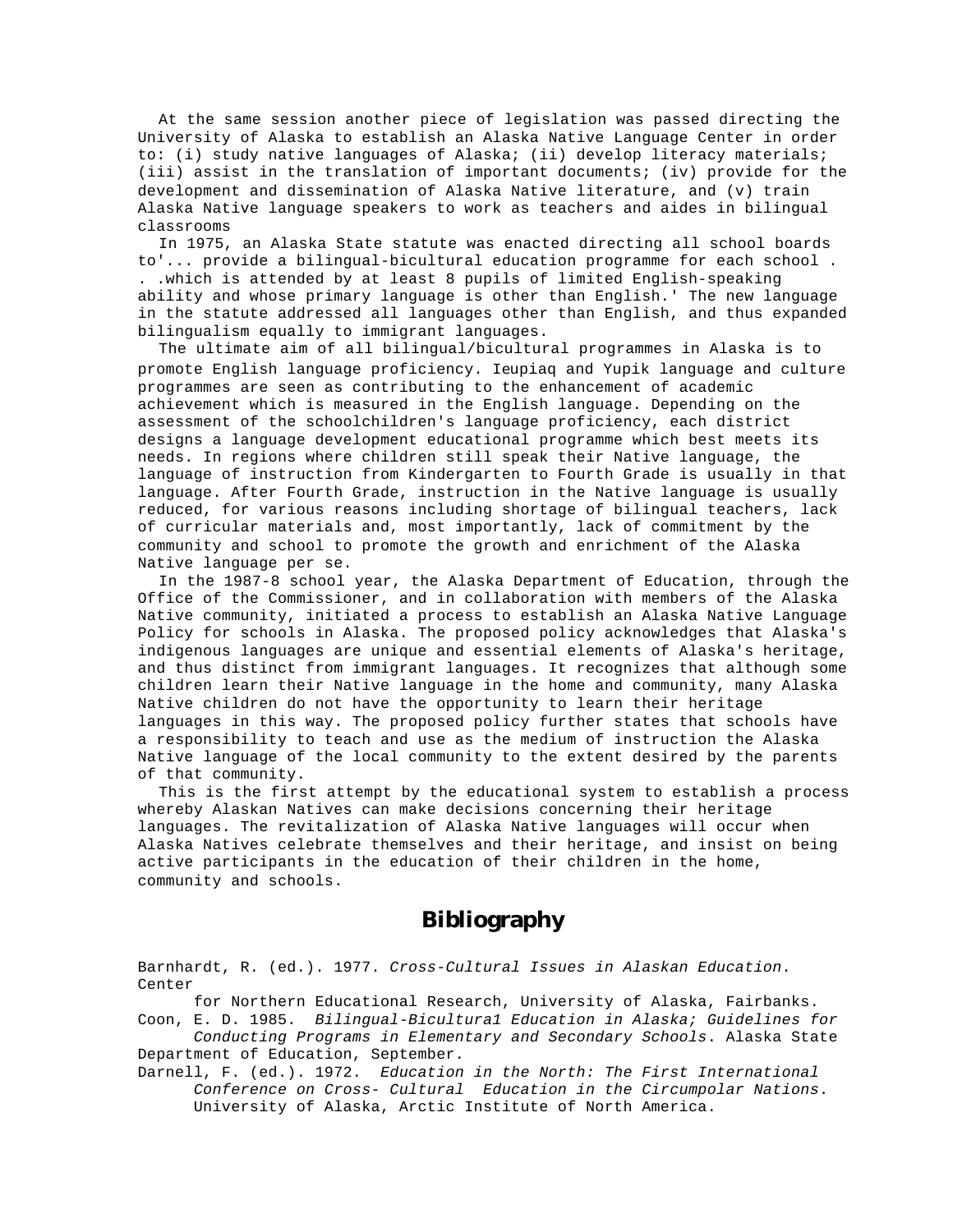At the same session another piece of legislation was passed directing the University of Alaska to establish an Alaska Native Language Center in order to: (i) study native languages of Alaska; (ii) develop literacy materials; (iii) assist in the translation of important documents; (iv) provide for the development and dissemination of Alaska Native literature, and (v) train Alaska Native language speakers to work as teachers and aides in bilingual classrooms

In 1975, an Alaska State statute was enacted directing all school boards to'... provide a bilingual-bicultural education programme for each school . . .which is attended by at least 8 pupils of limited English-speaking ability and whose primary language is other than English.' The new language in the statute addressed all languages other than English, and thus expanded bilingualism equally to immigrant languages.

The ultimate aim of all bilingual/bicultural programmes in Alaska is to promote English language proficiency. Ieupiaq and Yupik language and culture programmes are seen as contributing to the enhancement of academic achievement which is measured in the English language. Depending on the assessment of the schoolchildren's language proficiency, each district designs a language development educational programme which best meets its needs. In regions where children still speak their Native language, the language of instruction from Kindergarten to Fourth Grade is usually in that language. After Fourth Grade, instruction in the Native language is usually reduced, for various reasons including shortage of bilingual teachers, lack of curricular materials and, most importantly, lack of commitment by the community and school to promote the growth and enrichment of the Alaska Native language per se.

In the 1987-8 school year, the Alaska Department of Education, through the Office of the Commissioner, and in collaboration with members of the Alaska Native community, initiated a process to establish an Alaska Native Language Policy for schools in Alaska. The proposed policy acknowledges that Alaska's indigenous languages are unique and essential elements of Alaska's heritage, and thus distinct from immigrant languages. It recognizes that although some children learn their Native language in the home and community, many Alaska Native children do not have the opportunity to learn their heritage languages in this way. The proposed policy further states that schools have a responsibility to teach and use as the medium of instruction the Alaska Native language of the local community to the extent desired by the parents of that community.

This is the first attempt by the educational system to establish a process whereby Alaskan Natives can make decisions concerning their heritage languages. The revitalization of Alaska Native languages will occur when Alaska Natives celebrate themselves and their heritage, and insist on being active participants in the education of their children in the home, community and schools.

### **Bibliography**

Barnhardt, R. (ed.). 1977. *Cross-Cultural Issues in Alaskan Education*. Center

for Northern Educational Research, University of Alaska, Fairbanks. Coon, E. D. 1985. *Bilingual-Bicultura1 Education in Alaska; Guidelines for*

*Conducting Programs in Elementary and Secondary Schools*. Alaska State Department of Education, September.

Darnell, F. (ed.). 1972. *Education in the North: The First International Conference on Cross- Cultural Education in the Circumpolar Nations*. University of Alaska, Arctic Institute of North America.